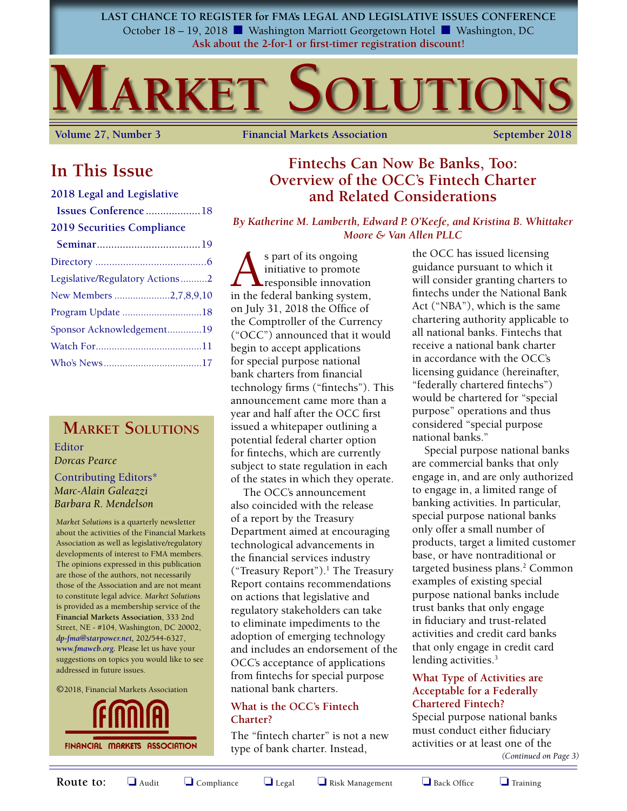**LAST CHANCE TO REGISTER for FMA's LEGAL AND LEGISLATIVE ISSUES CONFERENCE** October 18 – 19, 2018 ■ Washington Marriott Georgetown Hotel ■ Washington, DC **Ask about the 2-for-1 or first-timer registration discount!**

# **MARKET SOLUTION**

**Volume 27, Number 3 Financial Markets Association September 2018** 

### **In This Issue**

#### **2018 Legal and Legislative**

| Issues Conference18               |  |
|-----------------------------------|--|
| <b>2019 Securities Compliance</b> |  |
|                                   |  |
|                                   |  |
| Legislative/Regulatory Actions2   |  |
| New Members 2,7,8,9,10            |  |
| Program Update 18                 |  |
| Sponsor Acknowledgement19         |  |
|                                   |  |
|                                   |  |

### **Market Solutions**

Editor *Dorcas Pearce*

### Contributing Editors\* *Marc-Alain Galeazzi Barbara R. Mendelson*

*Market Solutions* is a quarterly newsletter about the activities of the Financial Markets Association as well as legislative/regulatory developments of interest to FMA members. The opinions expressed in this publication are those of the authors, not necessarily those of the Association and are not meant to constitute legal advice. *Market Solutions* is provided as a membership service of the **Financial Markets Association**, 333 2nd Street, NE - #104, Washington, DC 20002, *dp-fma@starpower.net,* 202/544-6327, *www.fmaweb.org.* Please let us have your suggestions on topics you would like to see addressed in future issues.

©2018, Financial Markets Association



### **Fintechs Can Now Be Banks, Too: Overview of the OCC's Fintech Charter and Related Considerations**

*By Katherine M. Lamberth, Edward P. O'Keefe, and Kristina B. Whittaker Moore & Van Allen PLLC*

s part of its ongoing<br>initiative to promote<br>in the federal banking system initiative to promote responsible innovation in the federal banking system, on July 31, 2018 the Office of the Comptroller of the Currency ("OCC") announced that it would begin to accept applications for special purpose national bank charters from financial technology firms ("fintechs"). This announcement came more than a year and half after the OCC first issued a whitepaper outlining a potential federal charter option for fintechs, which are currently subject to state regulation in each of the states in which they operate.

The OCC's announcement also coincided with the release of a report by the Treasury Department aimed at encouraging technological advancements in the financial services industry ("Treasury Report").<sup>1</sup> The Treasury Report contains recommendations on actions that legislative and regulatory stakeholders can take to eliminate impediments to the adoption of emerging technology and includes an endorsement of the OCC's acceptance of applications from fintechs for special purpose national bank charters.

### **What is the OCC's Fintech Charter?**

The "fintech charter" is not a new type of bank charter. Instead,

the OCC has issued licensing guidance pursuant to which it will consider granting charters to fintechs under the National Bank Act ("NBA"), which is the same chartering authority applicable to all national banks. Fintechs that receive a national bank charter in accordance with the OCC's licensing guidance (hereinafter, "federally chartered fintechs") would be chartered for "special purpose" operations and thus considered "special purpose national banks."

Special purpose national banks are commercial banks that only engage in, and are only authorized to engage in, a limited range of banking activities. In particular, special purpose national banks only offer a small number of products, target a limited customer base, or have nontraditional or targeted business plans.<sup>2</sup> Common examples of existing special purpose national banks include trust banks that only engage in fiduciary and trust-related activities and credit card banks that only engage in credit card lending activities.<sup>3</sup>

### **What Type of Activities are Acceptable for a Federally Chartered Fintech?**

Special purpose national banks must conduct either fiduciary activities or at least one of the

*(Continued on Page 3)*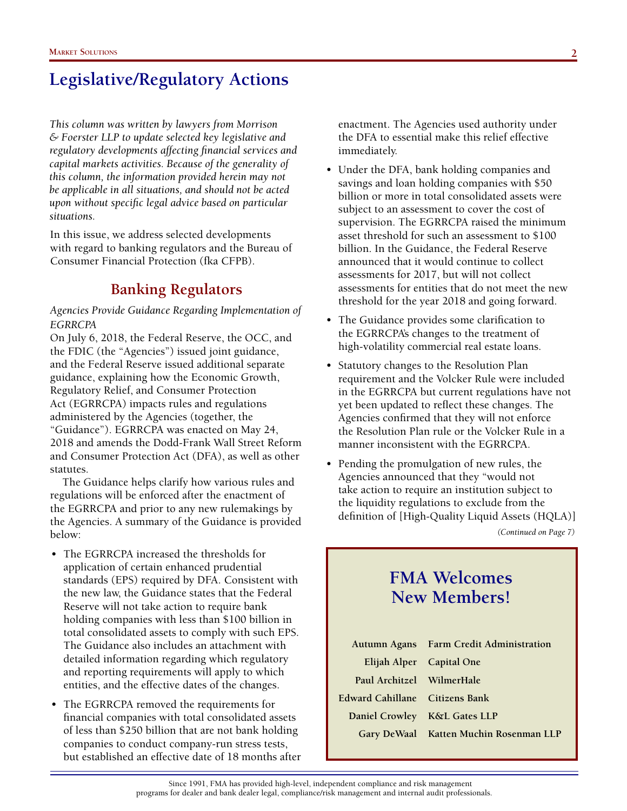*This column was written by lawyers from Morrison & Foerster LLP to update selected key legislative and regulatory developments affecting financial services and capital markets activities. Because of the generality of this column, the information provided herein may not be applicable in all situations, and should not be acted upon without specific legal advice based on particular situations.* 

In this issue, we address selected developments with regard to banking regulators and the Bureau of Consumer Financial Protection (fka CFPB).

### **Banking Regulators**

*Agencies Provide Guidance Regarding Implementation of EGRRCPA*

On July 6, 2018, the Federal Reserve, the OCC, and the FDIC (the "Agencies") issued joint guidance, and the Federal Reserve issued additional separate guidance, explaining how the Economic Growth, Regulatory Relief, and Consumer Protection Act (EGRRCPA) impacts rules and regulations administered by the Agencies (together, the "Guidance"). EGRRCPA was enacted on May 24, 2018 and amends the Dodd-Frank Wall Street Reform and Consumer Protection Act (DFA), as well as other statutes.

The Guidance helps clarify how various rules and regulations will be enforced after the enactment of the EGRRCPA and prior to any new rulemakings by the Agencies. A summary of the Guidance is provided below:

- The EGRRCPA increased the thresholds for application of certain enhanced prudential standards (EPS) required by DFA. Consistent with the new law, the Guidance states that the Federal Reserve will not take action to require bank holding companies with less than \$100 billion in total consolidated assets to comply with such EPS. The Guidance also includes an attachment with detailed information regarding which regulatory and reporting requirements will apply to which entities, and the effective dates of the changes.
- The EGRRCPA removed the requirements for financial companies with total consolidated assets of less than \$250 billion that are not bank holding companies to conduct company-run stress tests, but established an effective date of 18 months after

enactment. The Agencies used authority under the DFA to essential make this relief effective immediately.

- Under the DFA, bank holding companies and savings and loan holding companies with \$50 billion or more in total consolidated assets were subject to an assessment to cover the cost of supervision. The EGRRCPA raised the minimum asset threshold for such an assessment to \$100 billion. In the Guidance, the Federal Reserve announced that it would continue to collect assessments for 2017, but will not collect assessments for entities that do not meet the new threshold for the year 2018 and going forward.
- The Guidance provides some clarification to the EGRRCPA's changes to the treatment of high-volatility commercial real estate loans.
- Statutory changes to the Resolution Plan requirement and the Volcker Rule were included in the EGRRCPA but current regulations have not yet been updated to reflect these changes. The Agencies confirmed that they will not enforce the Resolution Plan rule or the Volcker Rule in a manner inconsistent with the EGRRCPA.
- Pending the promulgation of new rules, the Agencies announced that they "would not take action to require an institution subject to the liquidity regulations to exclude from the definition of [High-Quality Liquid Assets (HQLA)]

*(Continued on Page 7)*

### **FMA Welcomes New Members!**

|                                | Autumn Agans Farm Credit Administration |
|--------------------------------|-----------------------------------------|
| Elijah Alper Capital One       |                                         |
| Paul Architzel WilmerHale      |                                         |
| Edward Cahillane Citizens Bank |                                         |
|                                | Daniel Crowley K&L Gates LLP            |
|                                | Gary DeWaal Katten Muchin Rosenman LLP  |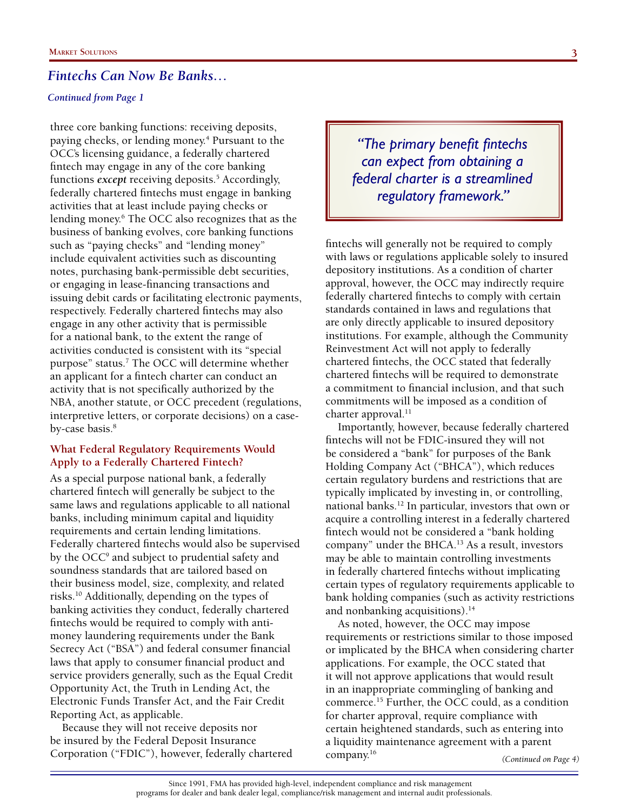#### *Continued from Page 1*

three core banking functions: receiving deposits, paying checks, or lending money.<sup>4</sup> Pursuant to the OCC's licensing guidance, a federally chartered fintech may engage in any of the core banking functions *except* receiving deposits.<sup>5</sup> Accordingly, federally chartered fintechs must engage in banking activities that at least include paying checks or lending money.<sup>6</sup> The OCC also recognizes that as the business of banking evolves, core banking functions such as "paying checks" and "lending money" include equivalent activities such as discounting notes, purchasing bank-permissible debt securities, or engaging in lease-financing transactions and issuing debit cards or facilitating electronic payments, respectively. Federally chartered fintechs may also engage in any other activity that is permissible for a national bank, to the extent the range of activities conducted is consistent with its "special purpose" status.<sup>7</sup> The OCC will determine whether an applicant for a fintech charter can conduct an activity that is not specifically authorized by the NBA, another statute, or OCC precedent (regulations, interpretive letters, or corporate decisions) on a caseby-case basis.<sup>8</sup>

### **What Federal Regulatory Requirements Would Apply to a Federally Chartered Fintech?**

As a special purpose national bank, a federally chartered fintech will generally be subject to the same laws and regulations applicable to all national banks, including minimum capital and liquidity requirements and certain lending limitations. Federally chartered fintechs would also be supervised by the OCC<sup>9</sup> and subject to prudential safety and soundness standards that are tailored based on their business model, size, complexity, and related risks.10 Additionally, depending on the types of banking activities they conduct, federally chartered fintechs would be required to comply with antimoney laundering requirements under the Bank Secrecy Act ("BSA") and federal consumer financial laws that apply to consumer financial product and service providers generally, such as the Equal Credit Opportunity Act, the Truth in Lending Act, the Electronic Funds Transfer Act, and the Fair Credit Reporting Act, as applicable.

Because they will not receive deposits nor be insured by the Federal Deposit Insurance Corporation ("FDIC"), however, federally chartered

*"The primary benefit fintechs can expect from obtaining a federal charter is a streamlined regulatory framework."*

fintechs will generally not be required to comply with laws or regulations applicable solely to insured depository institutions. As a condition of charter approval, however, the OCC may indirectly require federally chartered fintechs to comply with certain standards contained in laws and regulations that are only directly applicable to insured depository institutions. For example, although the Community Reinvestment Act will not apply to federally chartered fintechs, the OCC stated that federally chartered fintechs will be required to demonstrate a commitment to financial inclusion, and that such commitments will be imposed as a condition of charter approval. $^{11}$ 

Importantly, however, because federally chartered fintechs will not be FDIC-insured they will not be considered a "bank" for purposes of the Bank Holding Company Act ("BHCA"), which reduces certain regulatory burdens and restrictions that are typically implicated by investing in, or controlling, national banks.12 In particular, investors that own or acquire a controlling interest in a federally chartered fintech would not be considered a "bank holding company" under the BHCA.13 As a result, investors may be able to maintain controlling investments in federally chartered fintechs without implicating certain types of regulatory requirements applicable to bank holding companies (such as activity restrictions and nonbanking acquisitions). $14$ 

*(Continued on Page 4)* As noted, however, the OCC may impose requirements or restrictions similar to those imposed or implicated by the BHCA when considering charter applications. For example, the OCC stated that it will not approve applications that would result in an inappropriate commingling of banking and commerce.15 Further, the OCC could, as a condition for charter approval, require compliance with certain heightened standards, such as entering into a liquidity maintenance agreement with a parent company.16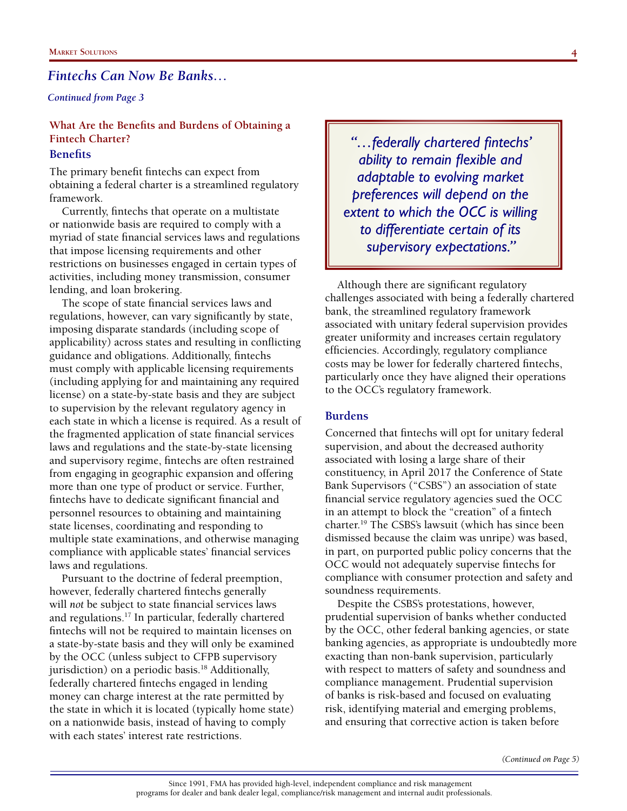#### *Continued from Page 3*

### **What Are the Benefits and Burdens of Obtaining a Fintech Charter?**

### **Benefits**

The primary benefit fintechs can expect from obtaining a federal charter is a streamlined regulatory framework.

Currently, fintechs that operate on a multistate or nationwide basis are required to comply with a myriad of state financial services laws and regulations that impose licensing requirements and other restrictions on businesses engaged in certain types of activities, including money transmission, consumer lending, and loan brokering.

The scope of state financial services laws and regulations, however, can vary significantly by state, imposing disparate standards (including scope of applicability) across states and resulting in conflicting guidance and obligations. Additionally, fintechs must comply with applicable licensing requirements (including applying for and maintaining any required license) on a state-by-state basis and they are subject to supervision by the relevant regulatory agency in each state in which a license is required. As a result of the fragmented application of state financial services laws and regulations and the state-by-state licensing and supervisory regime, fintechs are often restrained from engaging in geographic expansion and offering more than one type of product or service. Further, fintechs have to dedicate significant financial and personnel resources to obtaining and maintaining state licenses, coordinating and responding to multiple state examinations, and otherwise managing compliance with applicable states' financial services laws and regulations.

Pursuant to the doctrine of federal preemption, however, federally chartered fintechs generally will *not* be subject to state financial services laws and regulations.17 In particular, federally chartered fintechs will not be required to maintain licenses on a state-by-state basis and they will only be examined by the OCC (unless subject to CFPB supervisory jurisdiction) on a periodic basis.<sup>18</sup> Additionally, federally chartered fintechs engaged in lending money can charge interest at the rate permitted by the state in which it is located (typically home state) on a nationwide basis, instead of having to comply with each states' interest rate restrictions.

*"…federally chartered fintechs' ability to remain flexible and adaptable to evolving market preferences will depend on the extent to which the OCC is willing to differentiate certain of its supervisory expectations."*

Although there are significant regulatory challenges associated with being a federally chartered bank, the streamlined regulatory framework associated with unitary federal supervision provides greater uniformity and increases certain regulatory efficiencies. Accordingly, regulatory compliance costs may be lower for federally chartered fintechs, particularly once they have aligned their operations to the OCC's regulatory framework.

#### **Burdens**

Concerned that fintechs will opt for unitary federal supervision, and about the decreased authority associated with losing a large share of their constituency, in April 2017 the Conference of State Bank Supervisors ("CSBS") an association of state financial service regulatory agencies sued the OCC in an attempt to block the "creation" of a fintech charter.19 The CSBS's lawsuit (which has since been dismissed because the claim was unripe) was based, in part, on purported public policy concerns that the OCC would not adequately supervise fintechs for compliance with consumer protection and safety and soundness requirements.

Despite the CSBS's protestations, however, prudential supervision of banks―whether conducted by the OCC, other federal banking agencies, or state banking agencies, as appropriate is undoubtedly more exacting than non-bank supervision, particularly with respect to matters of safety and soundness and compliance management. Prudential supervision of banks is risk-based and focused on evaluating risk, identifying material and emerging problems, and ensuring that corrective action is taken before

*(Continued on Page 5)*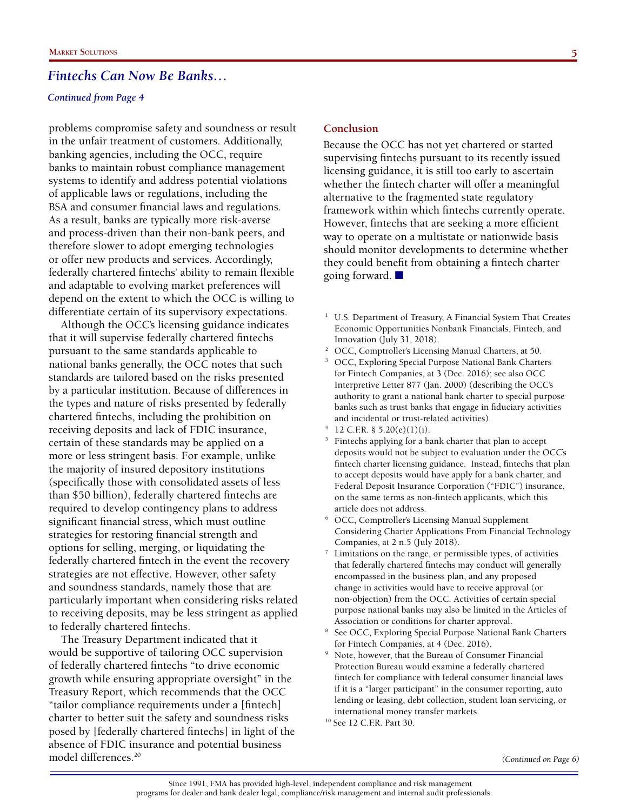#### *Continued from Page 4*

problems compromise safety and soundness or result in the unfair treatment of customers. Additionally, banking agencies, including the OCC, require banks to maintain robust compliance management systems to identify and address potential violations of applicable laws or regulations, including the BSA and consumer financial laws and regulations. As a result, banks are typically more risk-averse and process-driven than their non-bank peers, and therefore slower to adopt emerging technologies or offer new products and services. Accordingly, federally chartered fintechs' ability to remain flexible and adaptable to evolving market preferences will depend on the extent to which the OCC is willing to differentiate certain of its supervisory expectations.

Although the OCC's licensing guidance indicates that it will supervise federally chartered fintechs pursuant to the same standards applicable to national banks generally, the OCC notes that such standards are tailored based on the risks presented by a particular institution. Because of differences in the types and nature of risks presented by federally chartered fintechs, including the prohibition on receiving deposits and lack of FDIC insurance, certain of these standards may be applied on a more or less stringent basis. For example, unlike the majority of insured depository institutions (specifically those with consolidated assets of less than \$50 billion), federally chartered fintechs are required to develop contingency plans to address significant financial stress, which must outline strategies for restoring financial strength and options for selling, merging, or liquidating the federally chartered fintech in the event the recovery strategies are not effective. However, other safety and soundness standards, namely those that are particularly important when considering risks related to receiving deposits, may be less stringent as applied to federally chartered fintechs.

The Treasury Department indicated that it would be supportive of tailoring OCC supervision of federally chartered fintechs "to drive economic growth while ensuring appropriate oversight" in the Treasury Report, which recommends that the OCC "tailor compliance requirements under a [fintech] charter to better suit the safety and soundness risks posed by [federally chartered fintechs] in light of the absence of FDIC insurance and potential business model differences.20

#### **Conclusion**

Because the OCC has not yet chartered or started supervising fintechs pursuant to its recently issued licensing guidance, it is still too early to ascertain whether the fintech charter will offer a meaningful alternative to the fragmented state regulatory framework within which fintechs currently operate. However, fintechs that are seeking a more efficient way to operate on a multistate or nationwide basis should monitor developments to determine whether they could benefit from obtaining a fintech charter going forward. ■

- <sup>1</sup> U.S. Department of Treasury, A Financial System That Creates Economic Opportunities Nonbank Financials, Fintech, and Innovation (July 31, 2018).
- <sup>2</sup> OCC, Comptroller's Licensing Manual Charters, at 50.
- <sup>3</sup> OCC, Exploring Special Purpose National Bank Charters for Fintech Companies, at 3 (Dec. 2016); see also OCC Interpretive Letter 877 (Jan. 2000) (describing the OCC's authority to grant a national bank charter to special purpose banks such as trust banks that engage in fiduciary activities and incidental or trust-related activities).
- 12 C.F.R. §  $5.20(e)(1)(i)$ .
- <sup>5</sup> Fintechs applying for a bank charter that plan to accept deposits would not be subject to evaluation under the OCC's fintech charter licensing guidance. Instead, fintechs that plan to accept deposits would have apply for a bank charter, and Federal Deposit Insurance Corporation ("FDIC") insurance, on the same terms as non-fintech applicants, which this article does not address.<br>OCC, Comptroller's Licensing Manual Supplement
- Considering Charter Applications From Financial Technology Companies, at  $2 n.5$  (July 2018).<br>Limitations on the range, or permissible types, of activities
- that federally chartered fintechs may conduct will generally encompassed in the business plan, and any proposed change in activities would have to receive approval (or non-objection) from the OCC. Activities of certain special purpose national banks may also be limited in the Articles of Association or conditions for charter approval.<br>See OCC, Exploring Special Purpose National Bank Charters
- for Fintech Companies, at 4 (Dec. 2016).
- <sup>9</sup> Note, however, that the Bureau of Consumer Financial Protection Bureau would examine a federally chartered fintech for compliance with federal consumer financial laws if it is a "larger participant" in the consumer reporting, auto lending or leasing, debt collection, student loan servicing, or international money transfer markets.
- 10 See 12 C.F.R. Part 30.

*(Continued on Page 6)*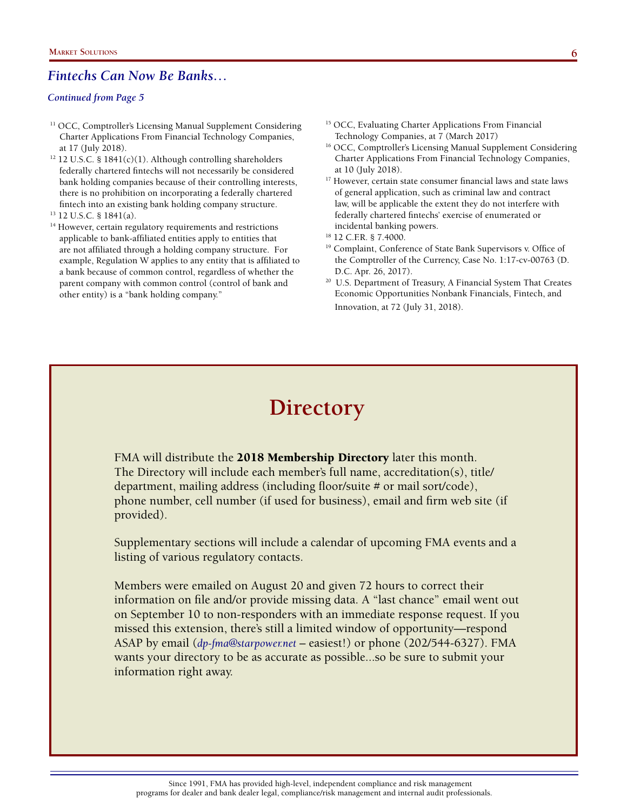#### *Continued from Page 5*

- <sup>11</sup> OCC, Comptroller's Licensing Manual Supplement Considering Charter Applications From Financial Technology Companies, at 17 (July 2018).
- $12$  U.S.C. § 1841(c)(1). Although controlling shareholders federally chartered fintechs will not necessarily be considered bank holding companies because of their controlling interests, there is no prohibition on incorporating a federally chartered fintech into an existing bank holding company structure.
- 13 12 U.S.C. § 1841(a).
- <sup>14</sup> However, certain regulatory requirements and restrictions applicable to bank-affiliated entities apply to entities that are not affiliated through a holding company structure. For example, Regulation W applies to any entity that is affiliated to a bank because of common control, regardless of whether the parent company with common control (control of bank and other entity) is a "bank holding company."
- <sup>15</sup> OCC, Evaluating Charter Applications From Financial Technology Companies, at 7 (March 2017)
- <sup>16</sup> OCC, Comptroller's Licensing Manual Supplement Considering Charter Applications From Financial Technology Companies, at 10 (July 2018).
- <sup>17</sup> However, certain state consumer financial laws and state laws of general application, such as criminal law and contract law, will be applicable the extent they do not interfere with federally chartered fintechs' exercise of enumerated or incidental banking powers. 18 12 C.F.R. § 7.4000.
- 
- 19 Complaint, Conference of State Bank Supervisors v. Office of the Comptroller of the Currency, Case No. 1:17-cv-00763 (D.
- D.C. Apr. 26, 2017).<br><sup>20</sup> U.S. Department of Treasury, A Financial System That Creates Economic Opportunities Nonbank Financials, Fintech, and Innovation, at 72 (July 31, 2018).

## **Directory**

FMA will distribute the 2018 Membership Directory later this month. The Directory will include each member's full name, accreditation(s), title/ department, mailing address (including floor/suite # or mail sort/code), phone number, cell number (if used for business), email and firm web site (if provided).

Supplementary sections will include a calendar of upcoming FMA events and a listing of various regulatory contacts.

Members were emailed on August 20 and given 72 hours to correct their information on file and/or provide missing data. A "last chance" email went out on September 10 to non-responders with an immediate response request. If you missed this extension, there's still a limited window of opportunity—respond ASAP by email (*dp-fma@starpower.net* – easiest!) or phone (202/544-6327). FMA wants your directory to be as accurate as possible...so be sure to submit your information right away.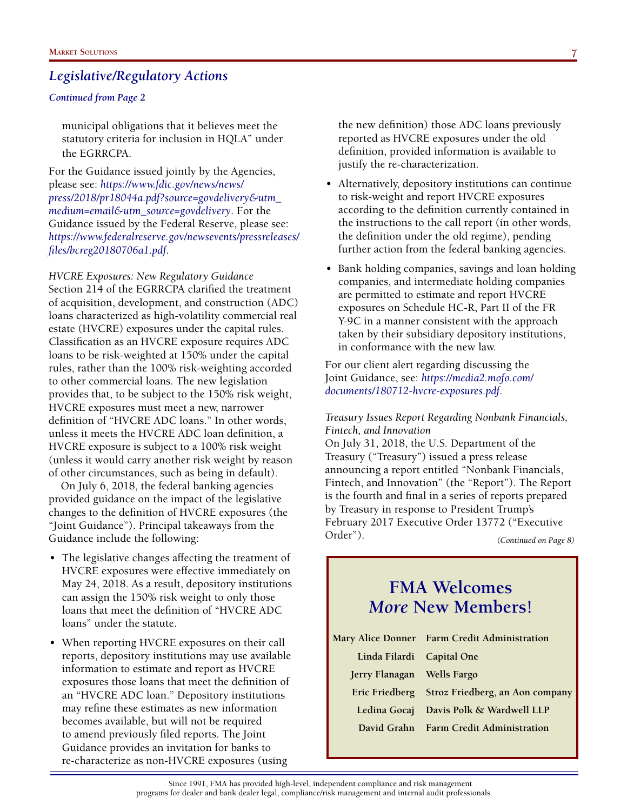#### *Continued from Page 2*

municipal obligations that it believes meet the statutory criteria for inclusion in HQLA" under the EGRRCPA.

For the Guidance issued jointly by the Agencies, please see: *https://www.fdic.gov/news/news/ press/2018/pr18044a.pdf?source=govdelivery&utm\_ medium=email&utm\_source=govdelivery*. For the Guidance issued by the Federal Reserve, please see: *https://www.federalreserve.gov/newsevents/pressreleases/ files/bcreg20180706a1.pdf*.

*HVCRE Exposures: New Regulatory Guidance* Section 214 of the EGRRCPA clarified the treatment of acquisition, development, and construction (ADC) loans characterized as high-volatility commercial real estate (HVCRE) exposures under the capital rules. Classification as an HVCRE exposure requires ADC loans to be risk-weighted at 150% under the capital rules, rather than the 100% risk-weighting accorded to other commercial loans. The new legislation provides that, to be subject to the 150% risk weight, HVCRE exposures must meet a new, narrower definition of "HVCRE ADC loans." In other words, unless it meets the HVCRE ADC loan definition, a HVCRE exposure is subject to a 100% risk weight (unless it would carry another risk weight by reason of other circumstances, such as being in default).

On July 6, 2018, the federal banking agencies provided guidance on the impact of the legislative changes to the definition of HVCRE exposures (the "Joint Guidance"). Principal takeaways from the Guidance include the following:

- The legislative changes affecting the treatment of HVCRE exposures were effective immediately on May 24, 2018. As a result, depository institutions can assign the 150% risk weight to only those loans that meet the definition of "HVCRE ADC loans" under the statute.
- When reporting HVCRE exposures on their call reports, depository institutions may use available information to estimate and report as HVCRE exposures those loans that meet the definition of an "HVCRE ADC loan." Depository institutions may refine these estimates as new information becomes available, but will not be required to amend previously filed reports. The Joint Guidance provides an invitation for banks to re-characterize as non-HVCRE exposures (using

the new definition) those ADC loans previously reported as HVCRE exposures under the old definition, provided information is available to justify the re-characterization.

- Alternatively, depository institutions can continue to risk-weight and report HVCRE exposures according to the definition currently contained in the instructions to the call report (in other words, the definition under the old regime), pending further action from the federal banking agencies.
- Bank holding companies, savings and loan holding companies, and intermediate holding companies are permitted to estimate and report HVCRE exposures on Schedule HC-R, Part II of the FR Y-9C in a manner consistent with the approach taken by their subsidiary depository institutions, in conformance with the new law.

For our client alert regarding discussing the Joint Guidance, see: *https://media2.mofo.com/ documents/180712-hvcre-exposures.pdf*.

*Treasury Issues Report Regarding Nonbank Financials, Fintech, and Innovation*

On July 31, 2018, the U.S. Department of the Treasury ("Treasury") issued a press release announcing a report entitled "Nonbank Financials, Fintech, and Innovation" (the "Report"). The Report is the fourth and final in a series of reports prepared by Treasury in response to President Trump's February 2017 Executive Order 13772 ("Executive Order"). *(Continued on Page 8)*

### **FMA Welcomes** *More* **New Members!**

|                            | Mary Alice Donner Farm Credit Administration   |
|----------------------------|------------------------------------------------|
| Linda Filardi Capital One  |                                                |
| Jerry Flanagan Wells Fargo |                                                |
|                            | Eric Friedberg Stroz Friedberg, an Aon company |
|                            | Ledina Gocaj Davis Polk & Wardwell LLP         |
|                            | David Grahn Farm Credit Administration         |

Since 1991, FMA has provided high-level, independent compliance and risk management programs for dealer and bank dealer legal, compliance/risk management and internal audit professionals.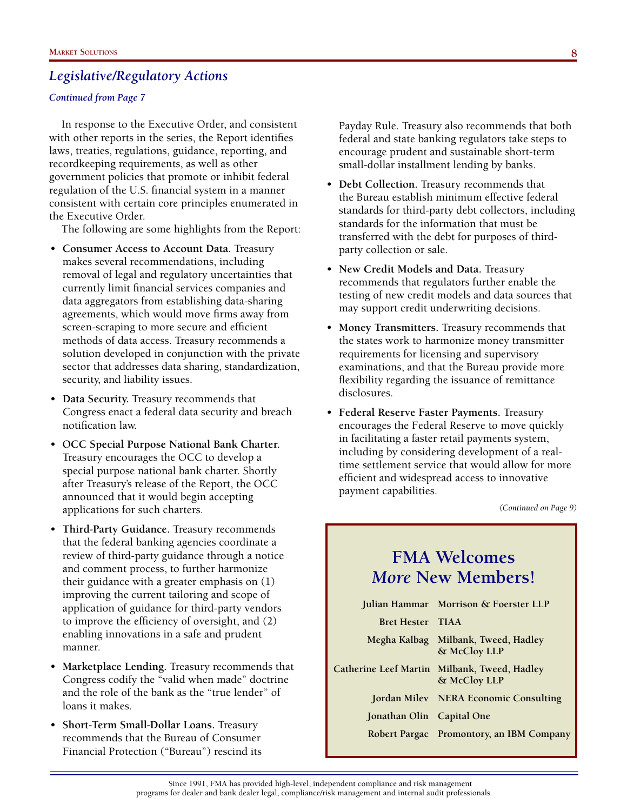#### *Continued from Page 7*

In response to the Executive Order, and consistent with other reports in the series, the Report identifies laws, treaties, regulations, guidance, reporting, and recordkeeping requirements, as well as other government policies that promote or inhibit federal regulation of the U.S. financial system in a manner consistent with certain core principles enumerated in the Executive Order.

The following are some highlights from the Report:

- **Consumer Access to Account Data.** Treasury makes several recommendations, including removal of legal and regulatory uncertainties that currently limit financial services companies and data aggregators from establishing data-sharing agreements, which would move firms away from screen-scraping to more secure and efficient methods of data access. Treasury recommends a solution developed in conjunction with the private sector that addresses data sharing, standardization, security, and liability issues.
- **Data Security.** Treasury recommends that Congress enact a federal data security and breach notification law.
- **OCC Special Purpose National Bank Charter.** Treasury encourages the OCC to develop a special purpose national bank charter. Shortly after Treasury's release of the Report, the OCC announced that it would begin accepting applications for such charters.
- **Third-Party Guidance.** Treasury recommends that the federal banking agencies coordinate a review of third-party guidance through a notice and comment process, to further harmonize their guidance with a greater emphasis on (1) improving the current tailoring and scope of application of guidance for third-party vendors to improve the efficiency of oversight, and (2) enabling innovations in a safe and prudent manner.
- **Marketplace Lending.** Treasury recommends that Congress codify the "valid when made" doctrine and the role of the bank as the "true lender" of loans it makes.
- **Short-Term Small-Dollar Loans.** Treasury recommends that the Bureau of Consumer Financial Protection ("Bureau") rescind its

Payday Rule. Treasury also recommends that both federal and state banking regulators take steps to encourage prudent and sustainable short-term small-dollar installment lending by banks.

- **Debt Collection.** Treasury recommends that the Bureau establish minimum effective federal standards for third-party debt collectors, including standards for the information that must be transferred with the debt for purposes of thirdparty collection or sale.
- **New Credit Models and Data.** Treasury recommends that regulators further enable the testing of new credit models and data sources that may support credit underwriting decisions.
- **Money Transmitters.** Treasury recommends that the states work to harmonize money transmitter requirements for licensing and supervisory examinations, and that the Bureau provide more flexibility regarding the issuance of remittance disclosures.
- **Federal Reserve Faster Payments.** Treasury encourages the Federal Reserve to move quickly in facilitating a faster retail payments system, including by considering development of a realtime settlement service that would allow for more efficient and widespread access to innovative payment capabilities.

*(Continued on Page 9)*

### **FMA Welcomes** *More* **New Members!**

|                           | Julian Hammar Morrison & Foerster LLP                        |
|---------------------------|--------------------------------------------------------------|
| <b>Bret Hester TIAA</b>   |                                                              |
|                           | Megha Kalbag Milbank, Tweed, Hadley<br>& McCloy LLP          |
|                           | Catherine Leef Martin Milbank, Tweed, Hadley<br>& McCloy LLP |
|                           | Jordan Milev NERA Economic Consulting                        |
| Jonathan Olin Capital One |                                                              |
|                           | Robert Pargac Promontory, an IBM Company                     |
|                           |                                                              |

Since 1991, FMA has provided high-level, independent compliance and risk management programs for dealer and bank dealer legal, compliance/risk management and internal audit professionals.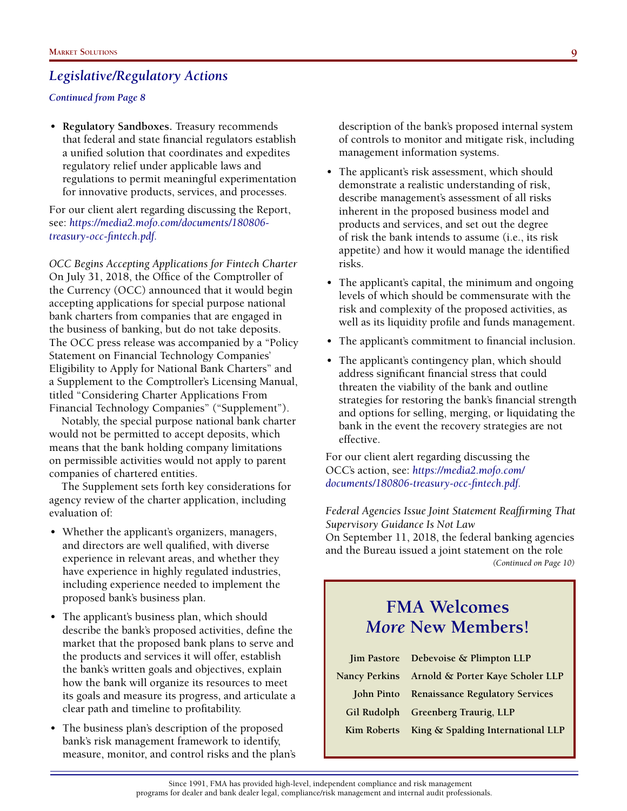#### *Continued from Page 8*

• **Regulatory Sandboxes.** Treasury recommends that federal and state financial regulators establish a unified solution that coordinates and expedites regulatory relief under applicable laws and regulations to permit meaningful experimentation for innovative products, services, and processes.

For our client alert regarding discussing the Report, see: *https://media2.mofo.com/documents/180806 treasury-occ-fintech.pdf.*

*OCC Begins Accepting Applications for Fintech Charter* On July 31, 2018, the Office of the Comptroller of the Currency (OCC) announced that it would begin accepting applications for special purpose national bank charters from companies that are engaged in the business of banking, but do not take deposits. The OCC press release was accompanied by a "Policy Statement on Financial Technology Companies' Eligibility to Apply for National Bank Charters" and a Supplement to the Comptroller's Licensing Manual, titled "Considering Charter Applications From Financial Technology Companies" ("Supplement").

Notably, the special purpose national bank charter would not be permitted to accept deposits, which means that the bank holding company limitations on permissible activities would not apply to parent companies of chartered entities.

The Supplement sets forth key considerations for agency review of the charter application, including evaluation of:

- Whether the applicant's organizers, managers, and directors are well qualified, with diverse experience in relevant areas, and whether they have experience in highly regulated industries, including experience needed to implement the proposed bank's business plan.
- The applicant's business plan, which should describe the bank's proposed activities, define the market that the proposed bank plans to serve and the products and services it will offer, establish the bank's written goals and objectives, explain how the bank will organize its resources to meet its goals and measure its progress, and articulate a clear path and timeline to profitability.
- The business plan's description of the proposed bank's risk management framework to identify, measure, monitor, and control risks and the plan's

description of the bank's proposed internal system of controls to monitor and mitigate risk, including management information systems.

- The applicant's risk assessment, which should demonstrate a realistic understanding of risk, describe management's assessment of all risks inherent in the proposed business model and products and services, and set out the degree of risk the bank intends to assume (i.e., its risk appetite) and how it would manage the identified risks.
- The applicant's capital, the minimum and ongoing levels of which should be commensurate with the risk and complexity of the proposed activities, as well as its liquidity profile and funds management.
- The applicant's commitment to financial inclusion.
- The applicant's contingency plan, which should address significant financial stress that could threaten the viability of the bank and outline strategies for restoring the bank's financial strength and options for selling, merging, or liquidating the bank in the event the recovery strategies are not effective.

For our client alert regarding discussing the OCC's action, see: *https://media2.mofo.com/ documents/180806-treasury-occ-fintech.pdf.* 

*Federal Agencies Issue Joint Statement Reaffirming That Supervisory Guidance Is Not Law*  On September 11, 2018, the federal banking agencies and the Bureau issued a joint statement on the role *(Continued on Page 10)*

### **FMA Welcomes** *More* **New Members!**

|  | Jim Pastore Debevoise & Plimpton LLP           |
|--|------------------------------------------------|
|  | Nancy Perkins Arnold & Porter Kaye Scholer LLP |
|  | John Pinto Renaissance Regulatory Services     |
|  | Gil Rudolph Greenberg Traurig, LLP             |
|  | Kim Roberts King & Spalding International LLP  |

Since 1991, FMA has provided high-level, independent compliance and risk management programs for dealer and bank dealer legal, compliance/risk management and internal audit professionals.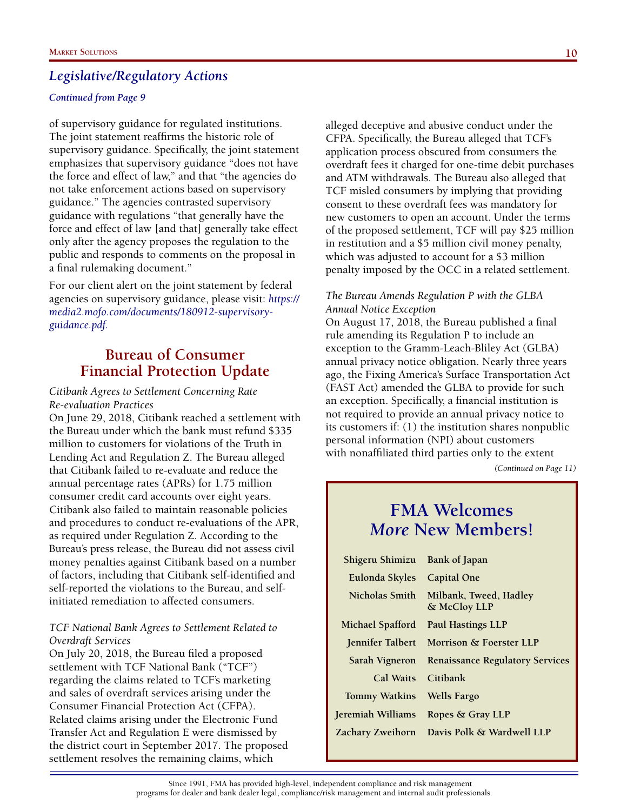#### *Continued from Page 9*

of supervisory guidance for regulated institutions. The joint statement reaffirms the historic role of supervisory guidance. Specifically, the joint statement emphasizes that supervisory guidance "does not have the force and effect of law," and that "the agencies do not take enforcement actions based on supervisory guidance." The agencies contrasted supervisory guidance with regulations "that generally have the force and effect of law [and that] generally take effect only after the agency proposes the regulation to the public and responds to comments on the proposal in a final rulemaking document."

For our client alert on the joint statement by federal agencies on supervisory guidance, please visit: *https:// media2.mofo.com/documents/180912-supervisoryguidance.pdf.* 

### **Bureau of Consumer Financial Protection Update**

*Citibank Agrees to Settlement Concerning Rate Re-evaluation Practices*

On June 29, 2018, Citibank reached a settlement with the Bureau under which the bank must refund \$335 million to customers for violations of the Truth in Lending Act and Regulation Z. The Bureau alleged that Citibank failed to re-evaluate and reduce the annual percentage rates (APRs) for 1.75 million consumer credit card accounts over eight years. Citibank also failed to maintain reasonable policies and procedures to conduct re-evaluations of the APR, as required under Regulation Z. According to the Bureau's press release, the Bureau did not assess civil money penalties against Citibank based on a number of factors, including that Citibank self-identified and self-reported the violations to the Bureau, and selfinitiated remediation to affected consumers.

### *TCF National Bank Agrees to Settlement Related to Overdraft Services*

On July 20, 2018, the Bureau filed a proposed settlement with TCF National Bank ("TCF") regarding the claims related to TCF's marketing and sales of overdraft services arising under the Consumer Financial Protection Act (CFPA). Related claims arising under the Electronic Fund Transfer Act and Regulation E were dismissed by the district court in September 2017. The proposed settlement resolves the remaining claims, which

alleged deceptive and abusive conduct under the CFPA. Specifically, the Bureau alleged that TCF's application process obscured from consumers the overdraft fees it charged for one-time debit purchases and ATM withdrawals. The Bureau also alleged that TCF misled consumers by implying that providing consent to these overdraft fees was mandatory for new customers to open an account. Under the terms of the proposed settlement, TCF will pay \$25 million in restitution and a \$5 million civil money penalty, which was adjusted to account for a \$3 million penalty imposed by the OCC in a related settlement.

#### *The Bureau Amends Regulation P with the GLBA Annual Notice Exception*

On August 17, 2018, the Bureau published a final rule amending its Regulation P to include an exception to the Gramm-Leach-Bliley Act (GLBA) annual privacy notice obligation. Nearly three years ago, the Fixing America's Surface Transportation Act (FAST Act) amended the GLBA to provide for such an exception. Specifically, a financial institution is not required to provide an annual privacy notice to its customers if: (1) the institution shares nonpublic personal information (NPI) about customers with nonaffiliated third parties only to the extent

*(Continued on Page 11)*

### **FMA Welcomes** *More* **New Members!**

| Shigeru Shimizu Bank of Japan |                                                       |
|-------------------------------|-------------------------------------------------------|
| Eulonda Skyles Capital One    |                                                       |
|                               | Nicholas Smith Milbank, Tweed, Hadley<br>& McCloy LLP |
|                               | Michael Spafford Paul Hastings LLP                    |
|                               | <b>Jennifer Talbert</b> Morrison & Foerster LLP       |
|                               | Sarah Vigneron Renaissance Regulatory Services        |
|                               |                                                       |
| Cal Waits Citibank            |                                                       |
| Tommy Watkins Wells Fargo     |                                                       |
|                               | Jeremiah Williams Ropes & Gray LLP                    |
|                               | Zachary Zweihorn Davis Polk & Wardwell LLP            |

Since 1991, FMA has provided high-level, independent compliance and risk management programs for dealer and bank dealer legal, compliance/risk management and internal audit professionals.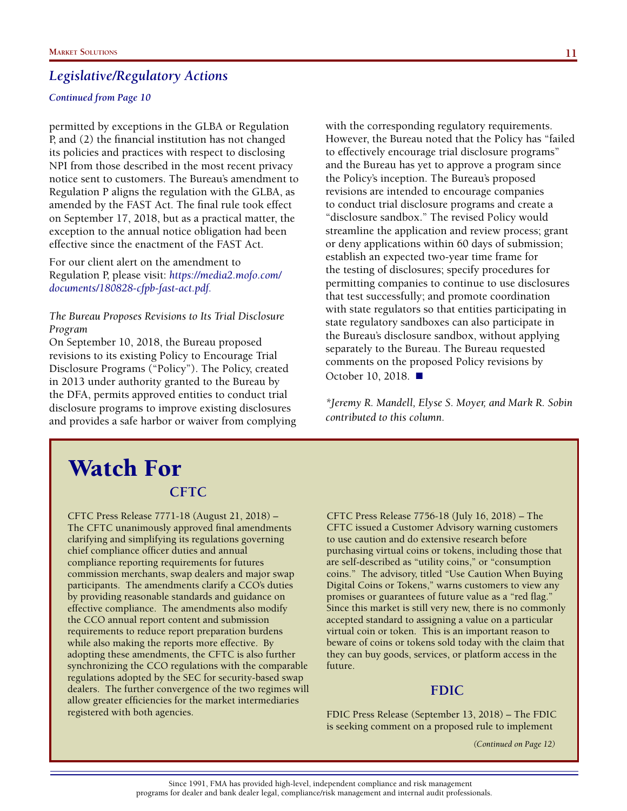#### *Continued from Page 10*

permitted by exceptions in the GLBA or Regulation P, and (2) the financial institution has not changed its policies and practices with respect to disclosing NPI from those described in the most recent privacy notice sent to customers. The Bureau's amendment to Regulation P aligns the regulation with the GLBA, as amended by the FAST Act. The final rule took effect on September 17, 2018, but as a practical matter, the exception to the annual notice obligation had been effective since the enactment of the FAST Act.

For our client alert on the amendment to Regulation P, please visit: *https://media2.mofo.com/ documents/180828-cfpb-fast-act.pdf.*

#### *The Bureau Proposes Revisions to Its Trial Disclosure Program*

On September 10, 2018, the Bureau proposed revisions to its existing Policy to Encourage Trial Disclosure Programs ("Policy"). The Policy, created in 2013 under authority granted to the Bureau by the DFA, permits approved entities to conduct trial disclosure programs to improve existing disclosures and provides a safe harbor or waiver from complying with the corresponding regulatory requirements. However, the Bureau noted that the Policy has "failed to effectively encourage trial disclosure programs" and the Bureau has yet to approve a program since the Policy's inception. The Bureau's proposed revisions are intended to encourage companies to conduct trial disclosure programs and create a "disclosure sandbox." The revised Policy would streamline the application and review process; grant or deny applications within 60 days of submission; establish an expected two-year time frame for the testing of disclosures; specify procedures for permitting companies to continue to use disclosures that test successfully; and promote coordination with state regulators so that entities participating in state regulatory sandboxes can also participate in the Bureau's disclosure sandbox, without applying separately to the Bureau. The Bureau requested comments on the proposed Policy revisions by October 10, 2018. ■

*\*Jeremy R. Mandell, Elyse S. Moyer, and Mark R. Sobin contributed to this column.*

### **CFTC** Watch For

CFTC Press Release 7771-18 (August 21, 2018) – The CFTC unanimously approved final amendments clarifying and simplifying its regulations governing chief compliance officer duties and annual compliance reporting requirements for futures commission merchants, swap dealers and major swap participants. The amendments clarify a CCO's duties by providing reasonable standards and guidance on effective compliance. The amendments also modify the CCO annual report content and submission requirements to reduce report preparation burdens while also making the reports more effective. By adopting these amendments, the CFTC is also further synchronizing the CCO regulations with the comparable regulations adopted by the SEC for security-based swap dealers. The further convergence of the two regimes will allow greater efficiencies for the market intermediaries registered with both agencies.

CFTC Press Release 7756-18 (July 16, 2018) – The CFTC issued a Customer Advisory warning customers to use caution and do extensive research before purchasing virtual coins or tokens, including those that are self-described as "utility coins," or "consumption coins." The advisory, titled "Use Caution When Buying Digital Coins or Tokens," warns customers to view any promises or guarantees of future value as a "red flag." Since this market is still very new, there is no commonly accepted standard to assigning a value on a particular virtual coin or token. This is an important reason to beware of coins or tokens sold today with the claim that they can buy goods, services, or platform access in the future.

### **FDIC**

FDIC Press Release (September 13, 2018) – The FDIC is seeking comment on a proposed rule to implement

*(Continued on Page 12)*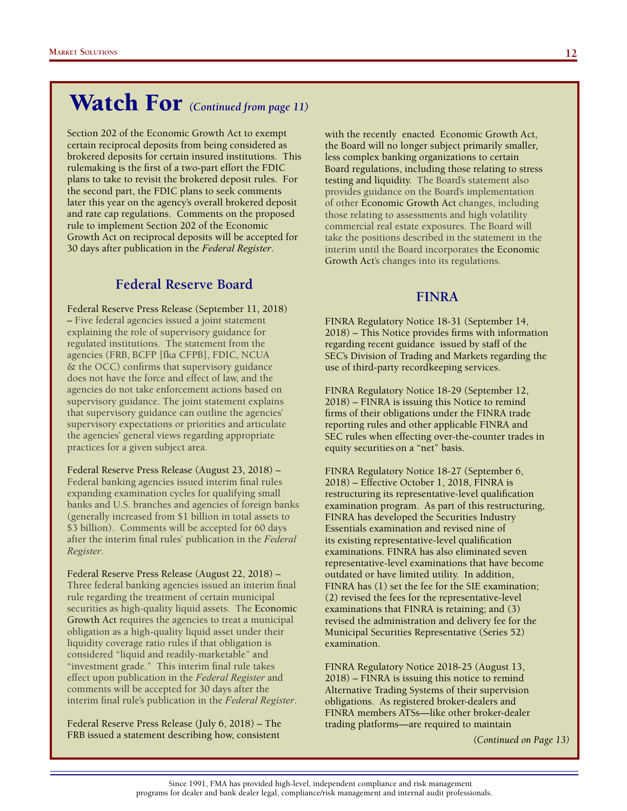# Watch For *(Continued from page 11)*

Section 202 of the Economic Growth Act to exempt certain reciprocal deposits from being considered as brokered deposits for certain insured institutions. This rulemaking is the first of a two-part effort the FDIC plans to take to revisit the brokered deposit rules. For the second part, the FDIC plans to seek comments later this year on the agency's overall brokered deposit and rate cap regulations. Comments on the proposed rule to implement Section 202 of the Economic Growth Act on reciprocal deposits will be accepted for 30 days after publication in the *Federal Register*.

### **Federal Reserve Board**

Federal Reserve Press Release (September 11, 2018) – Five federal agencies issued a joint statement explaining the role of supervisory guidance for regulated institutions. The statement from the agencies (FRB, BCFP [fka CFPB], FDIC, NCUA & the OCC) confirms that supervisory guidance does not have the force and effect of law, and the agencies do not take enforcement actions based on supervisory guidance. The joint statement explains that supervisory guidance can outline the agencies' supervisory expectations or priorities and articulate the agencies' general views regarding appropriate practices for a given subject area.

Federal Reserve Press Release (August 23, 2018) – Federal banking agencies issued interim final rules expanding examination cycles for qualifying small banks and U.S. branches and agencies of foreign banks (generally increased from \$1 billion in total assets to \$3 billion). Comments will be accepted for 60 days after the interim final rules' publication in the *Federal Register*.

Federal Reserve Press Release (August 22, 2018) – Three federal banking agencies issued an interim final rule regarding the treatment of certain municipal securities as high-quality liquid assets. The Economic Growth Act requires the agencies to treat a municipal obligation as a high-quality liquid asset under their liquidity coverage ratio rules if that obligation is considered "liquid and readily-marketable" and "investment grade." This interim final rule takes effect upon publication in the *Federal Register* and comments will be accepted for 30 days after the interim final rule's publication in the *Federal Register*.

Federal Reserve Press Release (July 6, 2018) – The FRB issued a statement describing how, consistent

with the recently enacted Economic Growth Act, the Board will no longer subject primarily smaller, less complex banking organizations to certain Board regulations, including those relating to stress testing and liquidity. The Board's statement also provides guidance on the Board's implementation of other Economic Growth Act changes, including those relating to assessments and high volatility commercial real estate exposures. The Board will take the positions described in the statement in the interim until the Board incorporates the Economic Growth Act's changes into its regulations.

### **FINRA**

FINRA Regulatory Notice 18-31 (September 14, 2018) – This Notice provides firms with information regarding recent guidance issued by staff of the SEC's Division of Trading and Markets regarding the use of third-party recordkeeping services.

FINRA Regulatory Notice 18-29 (September 12, 2018) – FINRA is issuing this Notice to remind firms of their obligations under the FINRA trade reporting rules and other applicable FINRA and SEC rules when effecting over-the-counter trades in equity securities on a "net" basis.

FINRA Regulatory Notice 18-27 (September 6, 2018) – Effective October 1, 2018, FINRA is restructuring its representative-level qualification examination program. As part of this restructuring, FINRA has developed the Securities Industry Essentials examination and revised nine of its existing representative-level qualification examinations. FINRA has also eliminated seven representative-level examinations that have become outdated or have limited utility. In addition, FINRA has (1) set the fee for the SIE examination; (2) revised the fees for the representative-level examinations that FINRA is retaining; and (3) revised the administration and delivery fee for the Municipal Securities Representative (Series 52) examination.

FINRA Regulatory Notice 2018-25 (August 13, 2018) – FINRA is issuing this notice to remind Alternative Trading Systems of their supervision obligations. As registered broker-dealers and FINRA members ATSs—like other broker-dealer trading platforms—are required to maintain

> *(Continued on Page 15) (Continued on Page 13)*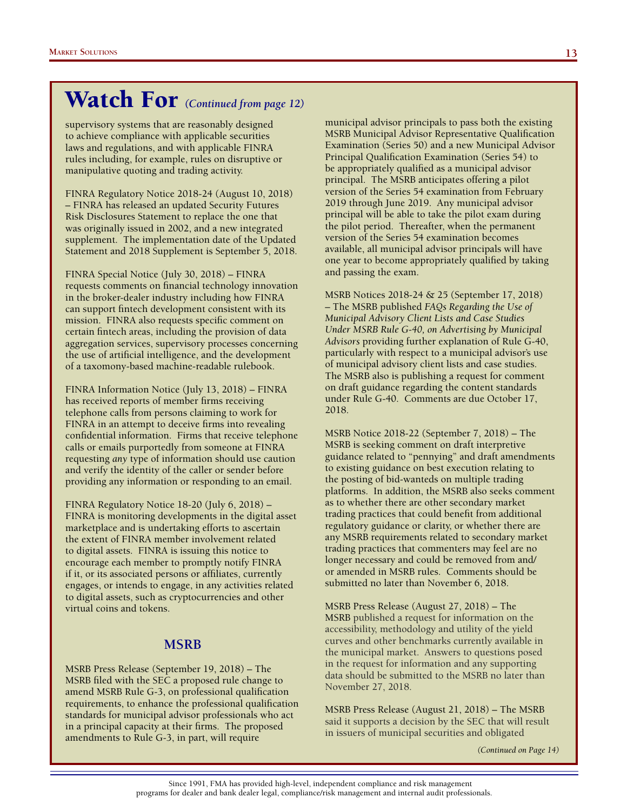# Watch For *(Continued from page 12)*

supervisory systems that are reasonably designed to achieve compliance with applicable securities laws and regulations, and with applicable FINRA rules including, for example, rules on disruptive or manipulative quoting and trading activity.

FINRA Regulatory Notice 2018-24 (August 10, 2018) – FINRA has released an updated Security Futures Risk Disclosures Statement to replace the one that was originally issued in 2002, and a new integrated supplement. The implementation date of the Updated Statement and 2018 Supplement is September 5, 2018.

FINRA Special Notice (July 30, 2018) – FINRA requests comments on financial technology innovation in the broker-dealer industry including how FINRA can support fintech development consistent with its mission. FINRA also requests specific comment on certain fintech areas, including the provision of data aggregation services, supervisory processes concerning the use of artificial intelligence, and the development of a taxomony-based machine-readable rulebook.

FINRA Information Notice (July 13, 2018) – FINRA has received reports of member firms receiving telephone calls from persons claiming to work for FINRA in an attempt to deceive firms into revealing confidential information. Firms that receive telephone calls or emails purportedly from someone at FINRA requesting *any* type of information should use caution and verify the identity of the caller or sender before providing any information or responding to an email.

FINRA Regulatory Notice 18-20 (July 6, 2018) – FINRA is monitoring developments in the digital asset marketplace and is undertaking efforts to ascertain the extent of FINRA member involvement related to digital assets. FINRA is issuing this notice to encourage each member to promptly notify FINRA if it, or its associated persons or affiliates, currently engages, or intends to engage, in any activities related to digital assets, such as cryptocurrencies and other virtual coins and tokens.

### **MSRB**

MSRB Press Release (September 19, 2018) – The MSRB filed with the SEC a proposed rule change to amend MSRB Rule G-3, on professional qualification requirements, to enhance the professional qualification standards for municipal advisor professionals who act in a principal capacity at their firms. The proposed amendments to Rule G-3, in part, will require

municipal advisor principals to pass both the existing MSRB Municipal Advisor Representative Qualification Examination (Series 50) and a new Municipal Advisor Principal Qualification Examination (Series 54) to be appropriately qualified as a municipal advisor principal. The MSRB anticipates offering a pilot version of the Series 54 examination from February 2019 through June 2019. Any municipal advisor principal will be able to take the pilot exam during the pilot period. Thereafter, when the permanent version of the Series 54 examination becomes available, all municipal advisor principals will have one year to become appropriately qualified by taking and passing the exam.

MSRB Notices 2018-24 & 25 (September 17, 2018) – The MSRB published *FAQs Regarding the Use of Municipal Advisory Client Lists and Case Studies Under MSRB Rule G-40, on Advertising by Municipal Advisors* providing further explanation of Rule G-40, particularly with respect to a municipal advisor's use of municipal advisory client lists and case studies. The MSRB also is publishing a request for comment on draft guidance regarding the content standards under Rule G-40. Comments are due October 17, 2018.

MSRB Notice 2018-22 (September 7, 2018) – The MSRB is seeking comment on draft interpretive guidance related to "pennying" and draft amendments to existing guidance on best execution relating to the posting of bid-wanteds on multiple trading platforms. In addition, the MSRB also seeks comment as to whether there are other secondary market trading practices that could benefit from additional regulatory guidance or clarity, or whether there are any MSRB requirements related to secondary market trading practices that commenters may feel are no longer necessary and could be removed from and/ or amended in MSRB rules. Comments should be submitted no later than November 6, 2018.

MSRB Press Release (August 27, 2018) – The MSRB published a request for information on the accessibility, methodology and utility of the yield curves and other benchmarks currently available in the municipal market. Answers to questions posed in the request for information and any supporting data should be submitted to the MSRB no later than November 27, 2018.

MSRB Press Release (August 21, 2018) – The MSRB said it supports a decision by the SEC that will result in issuers of municipal securities and obligated

*(Continued on Page 14)*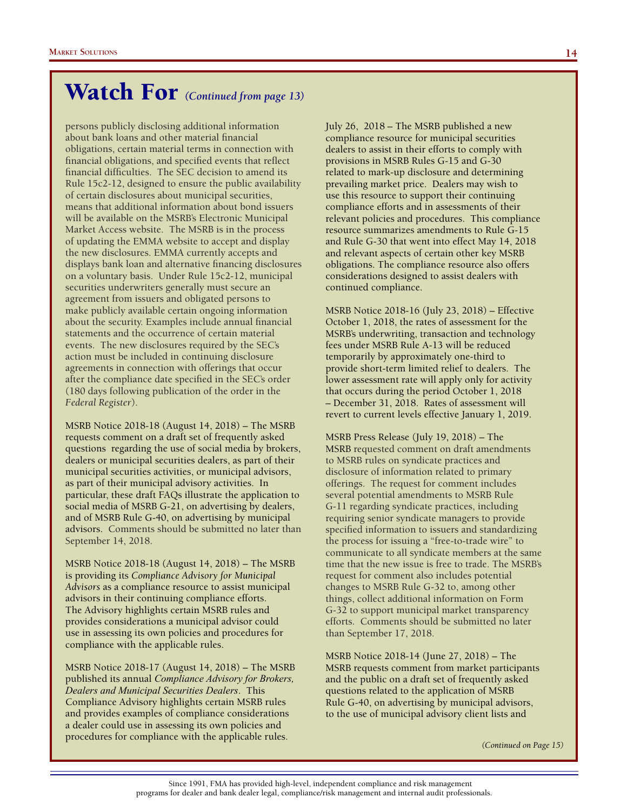# Watch For *(Continued from page 13)*

persons publicly disclosing additional information about bank loans and other material financial obligations, certain material terms in connection with financial obligations, and specified events that reflect financial difficulties. The SEC decision to amend its Rule 15c2-12, designed to ensure the public availability of certain disclosures about municipal securities, means that additional information about bond issuers will be available on the MSRB's Electronic Municipal Market Access website. The MSRB is in the process of updating the EMMA website to accept and display the new disclosures. EMMA currently accepts and displays bank loan and alternative financing disclosures on a voluntary basis. Under Rule 15c2-12, municipal securities underwriters generally must secure an agreement from issuers and obligated persons to make publicly available certain ongoing information about the security. Examples include annual financial statements and the occurrence of certain material events. The new disclosures required by the SEC's action must be included in continuing disclosure agreements in connection with offerings that occur after the compliance date specified in the SEC's order (180 days following publication of the order in the *Federal Register*).

MSRB Notice 2018-18 (August 14, 2018) – The MSRB requests comment on a draft set of frequently asked questions regarding the use of social media by brokers, dealers or municipal securities dealers, as part of their municipal securities activities, or municipal advisors, as part of their municipal advisory activities. In particular, these draft FAQs illustrate the application to social media of MSRB G-21, on advertising by dealers, and of MSRB Rule G-40, on advertising by municipal advisors. Comments should be submitted no later than September 14, 2018.

MSRB Notice 2018-18 (August 14, 2018) – The MSRB is providing its *Compliance Advisory for Municipal Advisors* as a compliance resource to assist municipal advisors in their continuing compliance efforts. The Advisory highlights certain MSRB rules and provides considerations a municipal advisor could use in assessing its own policies and procedures for compliance with the applicable rules.

MSRB Notice 2018-17 (August 14, 2018) – The MSRB published its annual *Compliance Advisory for Brokers, Dealers and Municipal Securities Dealers*. This Compliance Advisory highlights certain MSRB rules and provides examples of compliance considerations a dealer could use in assessing its own policies and procedures for compliance with the applicable rules.

July 26, 2018 – The MSRB published a new compliance resource for municipal securities dealers to assist in their efforts to comply with provisions in MSRB Rules G-15 and G-30 related to mark-up disclosure and determining prevailing market price. Dealers may wish to use this resource to support their continuing compliance efforts and in assessments of their relevant policies and procedures. This compliance resource summarizes amendments to Rule G-15 and Rule G-30 that went into effect May 14, 2018 and relevant aspects of certain other key MSRB obligations. The compliance resource also offers considerations designed to assist dealers with continued compliance.

MSRB Notice 2018-16 (July 23, 2018) – Effective October 1, 2018, the rates of assessment for the MSRB's underwriting, transaction and technology fees under MSRB Rule A-13 will be reduced temporarily by approximately one-third to provide short-term limited relief to dealers. The lower assessment rate will apply only for activity that occurs during the period October 1, 2018 – December 31, 2018. Rates of assessment will revert to current levels effective January 1, 2019.

MSRB Press Release (July 19, 2018) – The MSRB requested comment on draft amendments to MSRB rules on syndicate practices and disclosure of information related to primary offerings. The request for comment includes several potential amendments to MSRB Rule G-11 regarding syndicate practices, including requiring senior syndicate managers to provide specified information to issuers and standardizing the process for issuing a "free-to-trade wire" to communicate to all syndicate members at the same time that the new issue is free to trade. The MSRB's request for comment also includes potential changes to MSRB Rule G-32 to, among other things, collect additional information on Form G-32 to support municipal market transparency efforts. Comments should be submitted no later than September 17, 2018.

MSRB Notice 2018-14 (June 27, 2018) – The MSRB requests comment from market participants and the public on a draft set of frequently asked questions related to the application of MSRB Rule G-40, on advertising by municipal advisors, to the use of municipal advisory client lists and

*(Continued on Page 15)*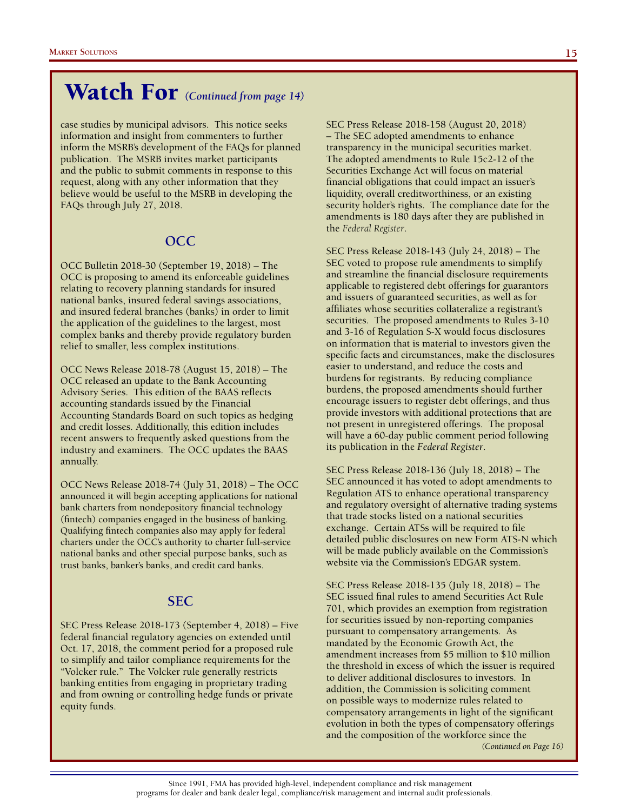# Watch For *(Continued from page 14)*

case studies by municipal advisors. This notice seeks information and insight from commenters to further inform the MSRB's development of the FAQs for planned publication. The MSRB invites market participants and the public to submit comments in response to this request, along with any other information that they believe would be useful to the MSRB in developing the FAQs through July 27, 2018.

### **OCC**

OCC Bulletin 2018-30 (September 19, 2018) – The OCC is proposing to amend its enforceable guidelines relating to recovery planning standards for insured national banks, insured federal savings associations, and insured federal branches (banks) in order to limit the application of the guidelines to the largest, most complex banks and thereby provide regulatory burden relief to smaller, less complex institutions.

OCC News Release 2018-78 (August 15, 2018) – The OCC released an update to the Bank Accounting Advisory Series. This edition of the BAAS reflects accounting standards issued by the Financial Accounting Standards Board on such topics as hedging and credit losses. Additionally, this edition includes recent answers to frequently asked questions from the industry and examiners. The OCC updates the BAAS annually.

OCC News Release 2018-74 (July 31, 2018) – The OCC announced it will begin accepting applications for national bank charters from nondepository financial technology (fintech) companies engaged in the business of banking. Qualifying fintech companies also may apply for federal charters under the OCC's authority to charter full-service national banks and other special purpose banks, such as trust banks, banker's banks, and credit card banks.

#### **SEC**

SEC Press Release 2018-173 (September 4, 2018) – Five federal financial regulatory agencies on extended until Oct. 17, 2018, the comment period for a proposed rule to simplify and tailor compliance requirements for the "Volcker rule." The Volcker rule generally restricts banking entities from engaging in proprietary trading and from owning or controlling hedge funds or private equity funds.

SEC Press Release 2018-158 (August 20, 2018) – The SEC adopted amendments to enhance transparency in the municipal securities market. The adopted amendments to Rule 15c2-12 of the Securities Exchange Act will focus on material financial obligations that could impact an issuer's liquidity, overall creditworthiness, or an existing security holder's rights. The compliance date for the amendments is 180 days after they are published in the *Federal Register*.

SEC Press Release 2018-143 (July 24, 2018) – The SEC voted to propose rule amendments to simplify and streamline the financial disclosure requirements applicable to registered debt offerings for guarantors and issuers of guaranteed securities, as well as for affiliates whose securities collateralize a registrant's securities. The proposed amendments to Rules 3-10 and 3-16 of Regulation S-X would focus disclosures on information that is material to investors given the specific facts and circumstances, make the disclosures easier to understand, and reduce the costs and burdens for registrants. By reducing compliance burdens, the proposed amendments should further encourage issuers to register debt offerings, and thus provide investors with additional protections that are not present in unregistered offerings. The proposal will have a 60-day public comment period following its publication in the *Federal Register*.

SEC Press Release 2018-136 (July 18, 2018) – The SEC announced it has voted to adopt amendments to Regulation ATS to enhance operational transparency and regulatory oversight of alternative trading systems that trade stocks listed on a national securities exchange. Certain ATSs will be required to file detailed public disclosures on new Form ATS-N which will be made publicly available on the Commission's website via the Commission's EDGAR system.

SEC Press Release 2018-135 (July 18, 2018) – The SEC issued final rules to amend Securities Act Rule 701, which provides an exemption from registration for securities issued by non-reporting companies pursuant to compensatory arrangements. As mandated by the Economic Growth Act, the amendment increases from \$5 million to \$10 million the threshold in excess of which the issuer is required to deliver additional disclosures to investors. In addition, the Commission is soliciting comment on possible ways to modernize rules related to compensatory arrangements in light of the significant evolution in both the types of compensatory offerings and the composition of the workforce since the *(Continued on Page 16)*

Since 1991, FMA has provided high-level, independent compliance and risk management programs for dealer and bank dealer legal, compliance/risk management and internal audit professionals.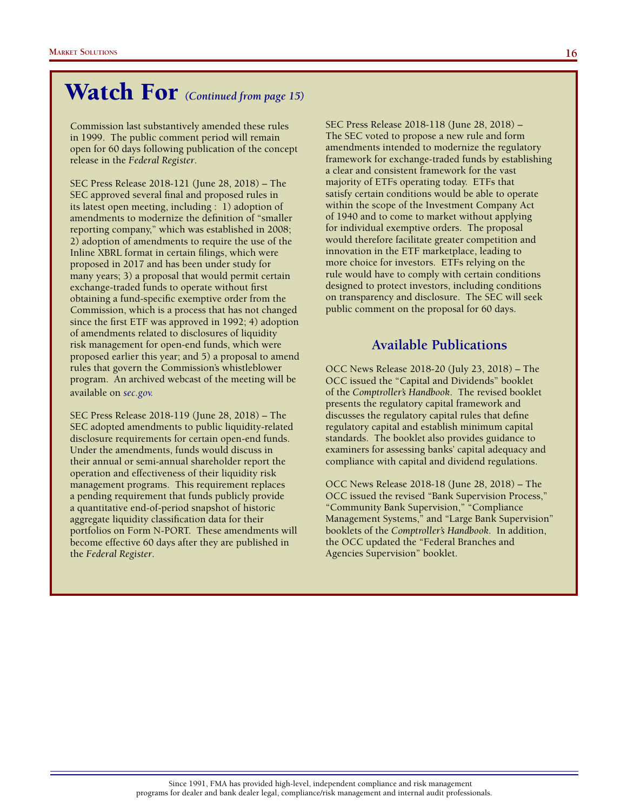# Watch For *(Continued from page 15)*

Commission last substantively amended these rules in 1999. The public comment period will remain open for 60 days following publication of the concept release in the *Federal Register*.

SEC Press Release 2018-121 (June 28, 2018) – The SEC approved several final and proposed rules in its latest open meeting, including : 1) adoption of amendments to modernize the definition of "smaller reporting company," which was established in 2008; 2) adoption of amendments to require the use of the Inline XBRL format in certain filings, which were proposed in 2017 and has been under study for many years; 3) a proposal that would permit certain exchange-traded funds to operate without first obtaining a fund-specific exemptive order from the Commission, which is a process that has not changed since the first ETF was approved in 1992; 4) adoption of amendments related to disclosures of liquidity risk management for open-end funds, which were proposed earlier this year; and 5) a proposal to amend rules that govern the Commission's whistleblower program. An archived webcast of the meeting will be available on *sec.gov.*

SEC Press Release 2018-119 (June 28, 2018) – The SEC adopted amendments to public liquidity-related disclosure requirements for certain open-end funds. Under the amendments, funds would discuss in their annual or semi-annual shareholder report the operation and effectiveness of their liquidity risk management programs. This requirement replaces a pending requirement that funds publicly provide a quantitative end-of-period snapshot of historic aggregate liquidity classification data for their portfolios on Form N-PORT. These amendments will become effective 60 days after they are published in the *Federal Register*.

SEC Press Release 2018-118 (June 28, 2018) – The SEC voted to propose a new rule and form amendments intended to modernize the regulatory framework for exchange-traded funds by establishing a clear and consistent framework for the vast majority of ETFs operating today. ETFs that satisfy certain conditions would be able to operate within the scope of the Investment Company Act of 1940 and to come to market without applying for individual exemptive orders. The proposal would therefore facilitate greater competition and innovation in the ETF marketplace, leading to more choice for investors. ETFs relying on the rule would have to comply with certain conditions designed to protect investors, including conditions on transparency and disclosure. The SEC will seek public comment on the proposal for 60 days.

### **Available Publications**

OCC News Release 2018-20 (July 23, 2018) – The OCC issued the "Capital and Dividends" booklet of the *Comptroller's Handbook*. The revised booklet presents the regulatory capital framework and discusses the regulatory capital rules that define regulatory capital and establish minimum capital standards. The booklet also provides guidance to examiners for assessing banks' capital adequacy and compliance with capital and dividend regulations.

OCC News Release 2018-18 (June 28, 2018) – The OCC issued the revised "Bank Supervision Process," "Community Bank Supervision," "Compliance Management Systems," and "Large Bank Supervision" booklets of the *Comptroller's Handbook*. In addition, the OCC updated the "Federal Branches and Agencies Supervision" booklet.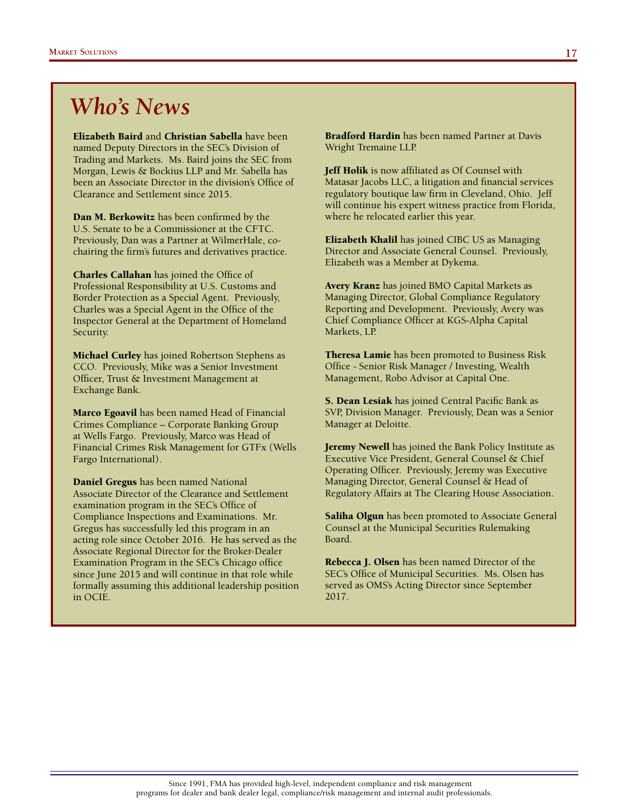# *Who's News*

Elizabeth Baird and Christian Sabella have been named Deputy Directors in the SEC's Division of Trading and Markets. Ms. Baird joins the SEC from Morgan, Lewis & Bockius LLP and Mr. Sabella has been an Associate Director in the division's Office of Clearance and Settlement since 2015.

Dan M. Berkowitz has been confirmed by the U.S. Senate to be a Commissioner at the CFTC. Previously, Dan was a Partner at WilmerHale, cochairing the firm's futures and derivatives practice.

Charles Callahan has joined the Office of Professional Responsibility at U.S. Customs and Border Protection as a Special Agent. Previously, Charles was a Special Agent in the Office of the Inspector General at the Department of Homeland Security.

**Michael Curley** has joined Robertson Stephens as CCO. Previously, Mike was a Senior Investment Officer, Trust & Investment Management at Exchange Bank.

Marco Egoavil has been named Head of Financial Crimes Compliance – Corporate Banking Group at Wells Fargo. Previously, Marco was Head of Financial Crimes Risk Management for GTFx (Wells Fargo International).

Daniel Gregus has been named National Associate Director of the Clearance and Settlement examination program in the SEC's Office of Compliance Inspections and Examinations. Mr. Gregus has successfully led this program in an acting role since October 2016. He has served as the Associate Regional Director for the Broker-Dealer Examination Program in the SEC's Chicago office since June 2015 and will continue in that role while formally assuming this additional leadership position in OCIE.

Bradford Hardin has been named Partner at Davis Wright Tremaine LLP.

**Jeff Holik** is now affiliated as Of Counsel with Matasar Jacobs LLC, a litigation and financial services regulatory boutique law firm in Cleveland, Ohio. Jeff will continue his expert witness practice from Florida, where he relocated earlier this year.

Elizabeth Khalil has joined CIBC US as Managing Director and Associate General Counsel. Previously, Elizabeth was a Member at Dykema.

Avery Kranz has joined BMO Capital Markets as Managing Director, Global Compliance Regulatory Reporting and Development. Previously, Avery was Chief Compliance Officer at KGS-Alpha Capital Markets, LP.

Theresa Lamie has been promoted to Business Risk Office - Senior Risk Manager / Investing, Wealth Management, Robo Advisor at Capital One.

S. Dean Lesiak has joined Central Pacific Bank as SVP, Division Manager. Previously, Dean was a Senior Manager at Deloitte.

Jeremy Newell has joined the Bank Policy Institute as Executive Vice President, General Counsel & Chief Operating Officer. Previously, Jeremy was Executive Managing Director, General Counsel & Head of Regulatory Affairs at The Clearing House Association.

**Saliha Olgun** has been promoted to Associate General Counsel at the Municipal Securities Rulemaking Board.

Rebecca J. Olsen has been named Director of the SEC's Office of Municipal Securities. Ms. Olsen has served as OMS's Acting Director since September 2017.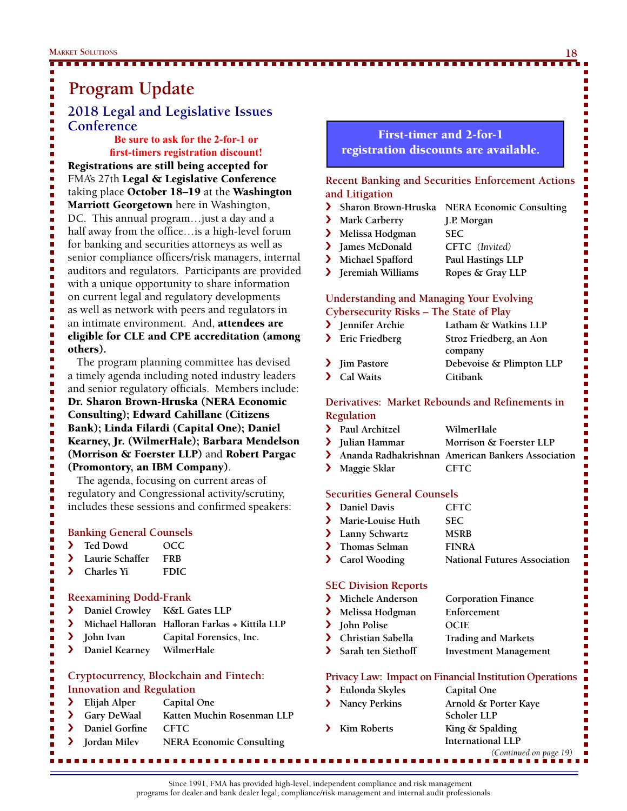# **Program Update**

### **2018 Legal and Legislative Issues Conference**

**Be sure to ask for the 2-for-1 or first-timers registration discount!**

Registrations are still being accepted for FMA's 27th Legal & Legislative Conference taking place October 18–19 at the Washington Marriott Georgetown here in Washington, DC. This annual program…just a day and a half away from the office…is a high-level forum for banking and securities attorneys as well as senior compliance officers/risk managers, internal auditors and regulators. Participants are provided with a unique opportunity to share information on current legal and regulatory developments as well as network with peers and regulators in an intimate environment. And, attendees are eligible for CLE and CPE accreditation (among others).

 The program planning committee has devised a timely agenda including noted industry leaders and senior regulatory officials. Members include: Dr. Sharon Brown-Hruska (NERA Economic Consulting); Edward Cahillane (Citizens Bank); Linda Filardi (Capital One); Daniel Kearney, Jr. (WilmerHale); Barbara Mendelson (Morrison & Foerster LLP) and Robert Pargac (Promontory, an IBM Company).

 The agenda, focusing on current areas of regulatory and Congressional activity/scrutiny, includes these sessions and confirmed speakers:

### **Banking General Counsels**

- › **Ted Dowd OCC**
- › **Laurie Schaffer FRB**
- › **Charles Yi FDIC**

#### **Reexamining Dodd-Frank**

- › **Daniel Crowley K&L Gates LLP**
- › **Michael Halloran Halloran Farkas + Kittila LLP**
- › **John Ivan Capital Forensics, Inc.**

г

г

› **Daniel Kearney WilmerHale**

### **Cryptocurrency, Blockchain and Fintech: Innovation and Regulation**

- › **Elijah Alper Capital One**
- › **Gary DeWaal Katten Muchin Rosenman LLP**
- › **Daniel Gorfine CFTC**
- › **Jordan Milev NERA Economic Consulting**

### First-timer and 2-for-1 registration discounts are available.

### **Recent Banking and Securities Enforcement Actions and Litigation**

- › **Sharon Brown-Hruska NERA Economic Consulting**
- › **Mark Carberry J.P. Morgan**
- › **Melissa Hodgman SEC**
- › **James McDonald CFTC** *(Invited)*
- › **Michael Spafford Paul Hastings LLP**
- › **Jeremiah Williams Ropes & Gray LLP**

### **Understanding and Managing Your Evolving Cybersecurity Risks – The State of Play**

| > Jennifer Archie | Latham & Watkins LLP     |
|-------------------|--------------------------|
| > Eric Friedberg  | Stroz Friedberg, an Aon  |
|                   | company                  |
| > Jim Pastore     | Debevoise & Plimpton LLP |
| > Cal Waits       | Citibank                 |

### **Derivatives: Market Rebounds and Refinements in Regulation**

| > Paul Architzel | WilmerHale                                          |
|------------------|-----------------------------------------------------|
| > Julian Hammar  | Morrison & Foerster LLP                             |
|                  | > Ananda Radhakrishnan American Bankers Association |

**Solution School** Maggie Sklar CFTC

### **Securities General Counsels**

| Daniel Davis      | <b>CFTC</b>                         |
|-------------------|-------------------------------------|
| Marie-Louise Huth | SEC.                                |
| > Lanny Schwartz  | <b>MSRB</b>                         |
| > Thomas Selman   | <b>FINRA</b>                        |
| > Carol Wooding   | <b>National Futures Association</b> |
|                   |                                     |

### **SEC Division Reports**

| > Michele Anderson   | <b>Corporation Finance</b>   |
|----------------------|------------------------------|
| > Melissa Hodgman    | Enforcement                  |
| > John Polise        | <b>OCIE</b>                  |
| > Christian Sabella  | <b>Trading and Markets</b>   |
| > Sarah ten Siethoff | <b>Investment Management</b> |

### **Privacy Law: Impact on Financial Institution Operations**

 *(Continued on page 19)* › **Eulonda Skyles Capital One** › **Nancy Perkins Arnold & Porter Kaye Scholer LLP** › **Kim Roberts King & Spalding International LLP**

Since 1991, FMA has provided high-level, independent compliance and risk management programs for dealer and bank dealer legal, compliance/risk management and internal audit professionals.

п п П п Ē, Ľ Ē. Ē.

-------------

İ Ē, Ē, Ì. I. Ì. Ē, Ē,

ú Ē. Ì. Ē.  $\blacksquare$ Ē.  $\blacksquare$  $\blacksquare$ п п

> Ľ Ē.

П

n. Ē, Ē, n.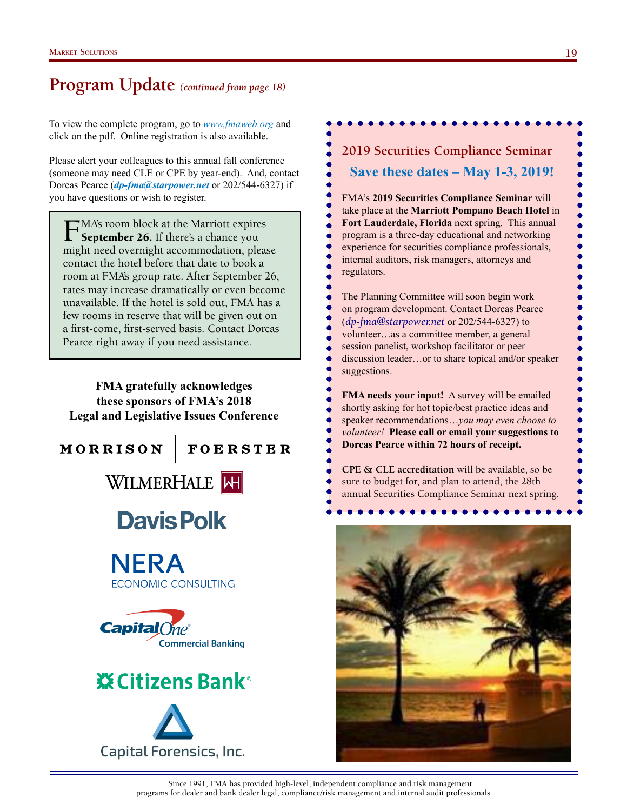### **Program Update** *(continued from page 18)*

To view the complete program, go to *www.fmaweb.org* and click on the pdf. Online registration is also available.

Please alert your colleagues to this annual fall conference (someone may need CLE or CPE by year-end). And, contact Dorcas Pearce (*dp-fma@starpower.net* or 202/544-6327) if you have questions or wish to register.

FMA's room block at the Marriott expires September 26. If there's a chance you might need overnight accommodation, please contact the hotel before that date to book a room at FMA's group rate. After September 26, rates may increase dramatically or even become unavailable. If the hotel is sold out, FMA has a few rooms in reserve that will be given out on a first-come, first-served basis. Contact Dorcas Pearce right away if you need assistance.

**FMA gratefully acknowledges these sponsors of FMA's 2018 Legal and Legislative Issues Conference**



**FOERSTER** 



# **Davis Polk**









**2019 Securities Compliance Seminar Save these dates – May 1-3, 2019!** FMA's **2019 Securities Compliance Seminar** will take place at the **Marriott Pompano Beach Hotel** in **Fort Lauderdale, Florida** next spring. This annual program is a three-day educational and networking experience for securities compliance professionals, internal auditors, risk managers, attorneys and regulators.

The Planning Committee will soon begin work on program development. Contact Dorcas Pearce (*dp-fma@starpower.net* or 202/544-6327) to volunteer…as a committee member, a general session panelist, workshop facilitator or peer discussion leader…or to share topical and/or speaker suggestions.

**FMA needs your input!** A survey will be emailed shortly asking for hot topic/best practice ideas and speaker recommendations…*you may even choose to volunteer!* **Please call or email your suggestions to Dorcas Pearce within 72 hours of receipt.**

**CPE & CLE accreditation** will be available, so be sure to budget for, and plan to attend, the 28th annual Securities Compliance Seminar next spring.



Since 1991, FMA has provided high-level, independent compliance and risk management programs for dealer and bank dealer legal, compliance/risk management and internal audit professionals.